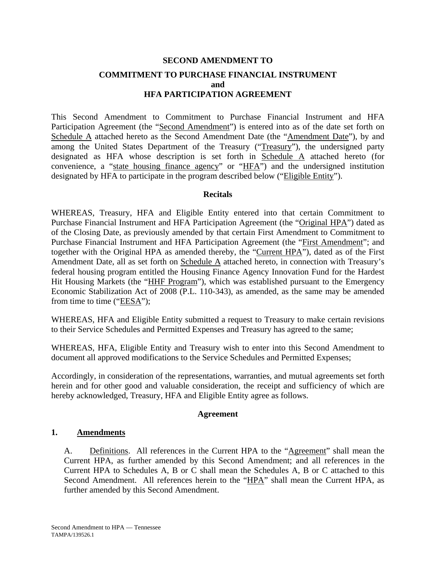# **SECOND AMENDMENT TO COMMITMENT TO PURCHASE FINANCIAL INSTRUMENT and HFA PARTICIPATION AGREEMENT**

This Second Amendment to Commitment to Purchase Financial Instrument and HFA Participation Agreement (the "Second Amendment") is entered into as of the date set forth on Schedule A attached hereto as the Second Amendment Date (the "Amendment Date"), by and among the United States Department of the Treasury ("Treasury"), the undersigned party designated as HFA whose description is set forth in Schedule A attached hereto (for convenience, a "state housing finance agency" or "HFA") and the undersigned institution designated by HFA to participate in the program described below ("Eligible Entity").

## **Recitals**

WHEREAS, Treasury, HFA and Eligible Entity entered into that certain Commitment to Purchase Financial Instrument and HFA Participation Agreement (the "Original HPA") dated as of the Closing Date, as previously amended by that certain First Amendment to Commitment to Purchase Financial Instrument and HFA Participation Agreement (the "First Amendment"; and together with the Original HPA as amended thereby, the "Current HPA"), dated as of the First Amendment Date, all as set forth on Schedule A attached hereto, in connection with Treasury's federal housing program entitled the Housing Finance Agency Innovation Fund for the Hardest Hit Housing Markets (the "HHF Program"), which was established pursuant to the Emergency Economic Stabilization Act of 2008 (P.L. 110-343), as amended, as the same may be amended from time to time ("EESA");

WHEREAS, HFA and Eligible Entity submitted a request to Treasury to make certain revisions to their Service Schedules and Permitted Expenses and Treasury has agreed to the same;

WHEREAS, HFA, Eligible Entity and Treasury wish to enter into this Second Amendment to document all approved modifications to the Service Schedules and Permitted Expenses;

Accordingly, in consideration of the representations, warranties, and mutual agreements set forth herein and for other good and valuable consideration, the receipt and sufficiency of which are hereby acknowledged, Treasury, HFA and Eligible Entity agree as follows.

## **Agreement**

## **1. Amendments**

A. Definitions. All references in the Current HPA to the "Agreement" shall mean the Current HPA, as further amended by this Second Amendment; and all references in the Current HPA to Schedules A, B or C shall mean the Schedules A, B or C attached to this Second Amendment. All references herein to the "HPA" shall mean the Current HPA, as further amended by this Second Amendment.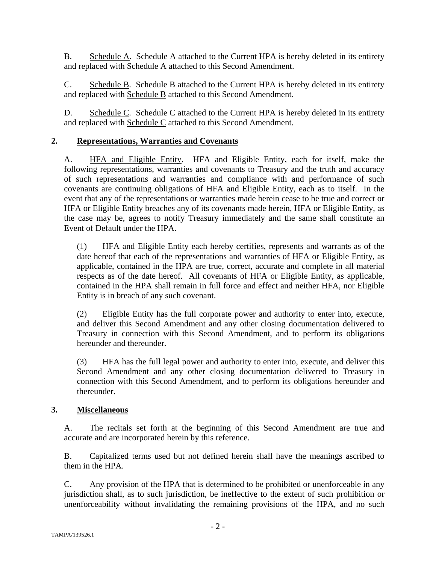B. Schedule A. Schedule A attached to the Current HPA is hereby deleted in its entirety and replaced with Schedule A attached to this Second Amendment.

C. Schedule B. Schedule B attached to the Current HPA is hereby deleted in its entirety and replaced with Schedule B attached to this Second Amendment.

D. Schedule C. Schedule C attached to the Current HPA is hereby deleted in its entirety and replaced with Schedule C attached to this Second Amendment.

## **2. Representations, Warranties and Covenants**

A. HFA and Eligible Entity. HFA and Eligible Entity, each for itself, make the following representations, warranties and covenants to Treasury and the truth and accuracy of such representations and warranties and compliance with and performance of such covenants are continuing obligations of HFA and Eligible Entity, each as to itself. In the event that any of the representations or warranties made herein cease to be true and correct or HFA or Eligible Entity breaches any of its covenants made herein, HFA or Eligible Entity, as the case may be, agrees to notify Treasury immediately and the same shall constitute an Event of Default under the HPA.

(1) HFA and Eligible Entity each hereby certifies, represents and warrants as of the date hereof that each of the representations and warranties of HFA or Eligible Entity, as applicable, contained in the HPA are true, correct, accurate and complete in all material respects as of the date hereof. All covenants of HFA or Eligible Entity, as applicable, contained in the HPA shall remain in full force and effect and neither HFA, nor Eligible Entity is in breach of any such covenant.

(2) Eligible Entity has the full corporate power and authority to enter into, execute, and deliver this Second Amendment and any other closing documentation delivered to Treasury in connection with this Second Amendment, and to perform its obligations hereunder and thereunder.

(3) HFA has the full legal power and authority to enter into, execute, and deliver this Second Amendment and any other closing documentation delivered to Treasury in connection with this Second Amendment, and to perform its obligations hereunder and thereunder.

## **3. Miscellaneous**

A. The recitals set forth at the beginning of this Second Amendment are true and accurate and are incorporated herein by this reference.

B. Capitalized terms used but not defined herein shall have the meanings ascribed to them in the HPA.

C. Any provision of the HPA that is determined to be prohibited or unenforceable in any jurisdiction shall, as to such jurisdiction, be ineffective to the extent of such prohibition or unenforceability without invalidating the remaining provisions of the HPA, and no such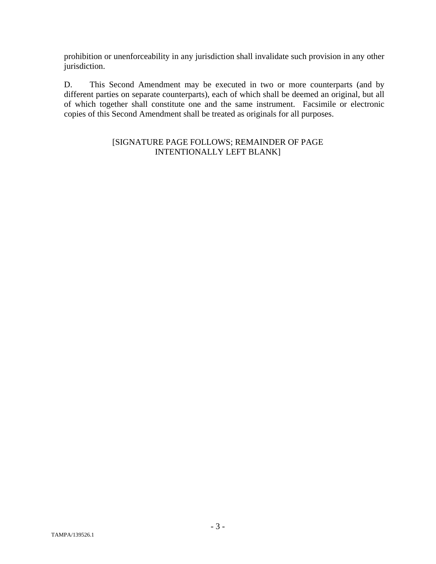prohibition or unenforceability in any jurisdiction shall invalidate such provision in any other jurisdiction.

D. This Second Amendment may be executed in two or more counterparts (and by different parties on separate counterparts), each of which shall be deemed an original, but all of which together shall constitute one and the same instrument. Facsimile or electronic copies of this Second Amendment shall be treated as originals for all purposes.

## [SIGNATURE PAGE FOLLOWS; REMAINDER OF PAGE INTENTIONALLY LEFT BLANK]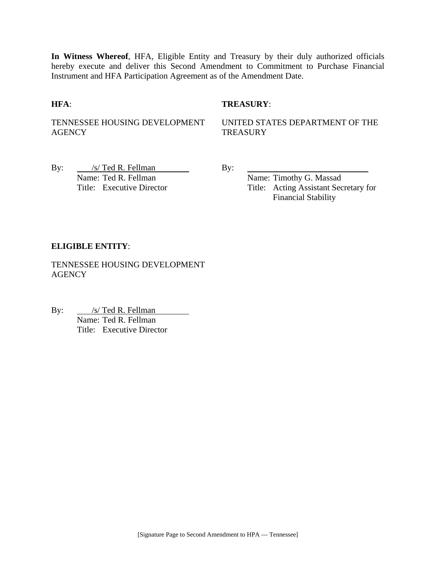**In Witness Whereof**, HFA, Eligible Entity and Treasury by their duly authorized officials hereby execute and deliver this Second Amendment to Commitment to Purchase Financial Instrument and HFA Participation Agreement as of the Amendment Date.

## **HFA**: **TREASURY**:

TENNESSEE HOUSING DEVELOPMENT AGENCY

UNITED STATES DEPARTMENT OF THE **TREASURY** 

By:  $\frac{|s| \text{ Ted R. Fellman}}{s}$  By: Name: Ted R. Fellman Name: Timothy G. Massad

Title: Executive Director Title: Acting Assistant Secretary for Financial Stability

## **ELIGIBLE ENTITY**:

TENNESSEE HOUSING DEVELOPMENT **AGENCY** 

By: <u>/s/ Ted R. Fellman</u> <u>S/ Ted R. Fellman</u><br>Name: Ted R. Fellman Title: Executive Director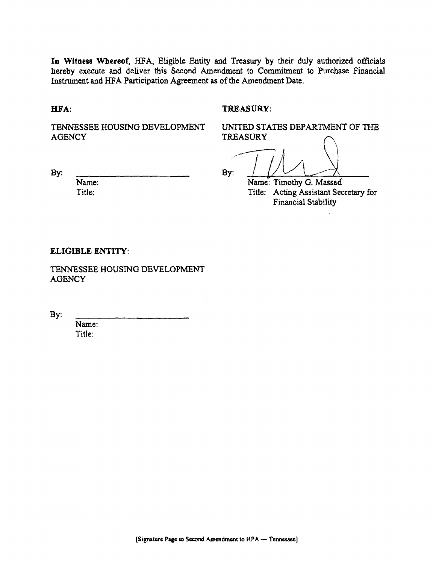In Witness Whereof, HFA, Eligible Entity and Treasury by their duly authorized officials hereby execute and deliver this Second Amendment to Commitment to Purchase Financial Instrument and HFA Participation Agreement as of the Amendment Date.

HFA:

By:

#### TREASURY:

TENNESSEE HOUSING DEVELOPMENT **AGENCY** 

UNITED STATES DEPARTMENT OF THE **TREASURY** 

By:  $\sqrt{\phantom{a_{\rm max}}\phantom{a_{\rm min}}\phantom{\,}}$  Name: Timothy G. Massad

Title: Acting Assistant Secretary for Financial Stability

### **ELIGIBLE ENTITY:**

Name: Title:

TENNESSEE HOUSING DEVELOPMENT **AGENCY** 

By:

Name: Title: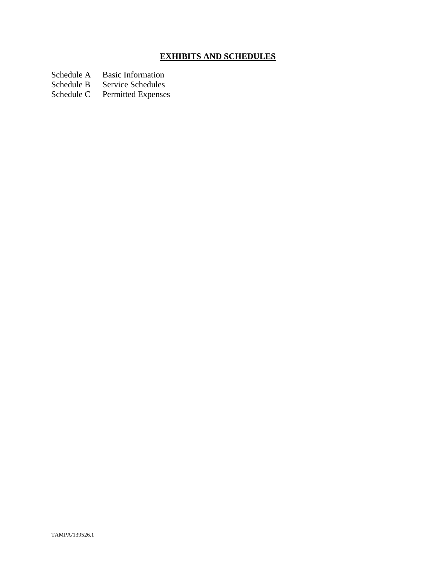# **EXHIBITS AND SCHEDULES**

Schedule A Basic Information<br>Schedule B Service Schedules

Schedule B Service Schedules<br>Schedule C Permitted Expenses

Permitted Expenses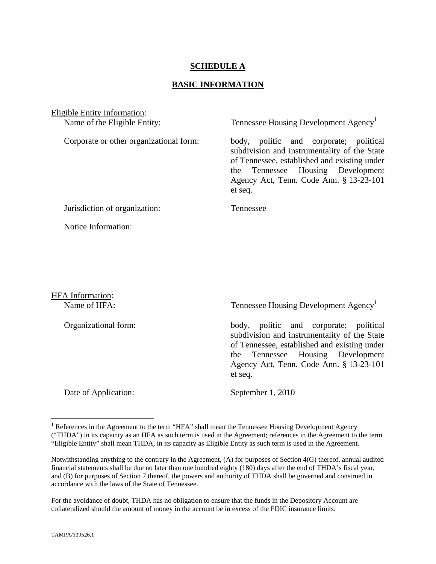## **SCHEDULE A**

## **BASIC INFORMATION**

Eligible Entity Information: Name of the Eligible Entity: Tennessee Housing Development Agency<sup>1</sup> Corporate or other organizational form: body, politic and corporate; political subdivision and instrumentality of the State of Tennessee, established and existing under the Tennessee Housing Development Agency Act, Tenn. Code Ann. § 13-23-101 et seq. Jurisdiction of organization: Tennessee Notice Information:

HFA Information:

Name of HFA: Tennessee Housing Development Agency<sup>1</sup>

Organizational form: body, politic and corporate; political subdivision and instrumentality of the State of Tennessee, established and existing under the Tennessee Housing Development Agency Act, Tenn. Code Ann. § 13-23-101 et seq.

Date of Application: September 1, 2010

For the avoidance of doubt, THDA has no obligation to ensure that the funds in the Depository Account are collateralized should the amount of money in the account be in excess of the FDIC insurance limits.

1

<sup>&</sup>lt;sup>1</sup> References in the Agreement to the term "HFA" shall mean the Tennessee Housing Development Agency ("THDA") in its capacity as an HFA as such term is used in the Agreement; references in the Agreement to the term "Eligible Entity" shall mean THDA, in its capacity as Eligible Entity as such term is used in the Agreement.

Notwithstanding anything to the contrary in the Agreement, (A) for purposes of Section 4(G) thereof, annual audited financial statements shall be due no later than one hundred eighty (180) days after the end of THDA's fiscal year, and (B) for purposes of Section 7 thereof, the powers and authority of THDA shall be governed and construed in accordance with the laws of the State of Tennessee.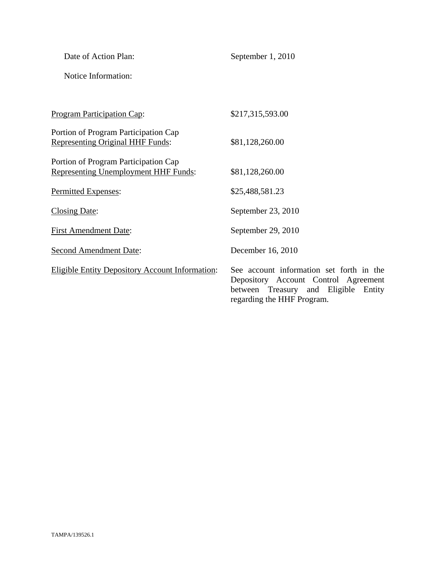| Date of Action Plan:                                                            | September 1, 2010                                                                                                        |
|---------------------------------------------------------------------------------|--------------------------------------------------------------------------------------------------------------------------|
| Notice Information:                                                             |                                                                                                                          |
|                                                                                 |                                                                                                                          |
| <b>Program Participation Cap:</b>                                               | \$217,315,593.00                                                                                                         |
| Portion of Program Participation Cap<br><b>Representing Original HHF Funds:</b> | \$81,128,260.00                                                                                                          |
| Portion of Program Participation Cap<br>Representing Unemployment HHF Funds:    | \$81,128,260.00                                                                                                          |
| Permitted Expenses:                                                             | \$25,488,581.23                                                                                                          |
| <b>Closing Date:</b>                                                            | September 23, 2010                                                                                                       |
| <b>First Amendment Date:</b>                                                    | September 29, 2010                                                                                                       |
| <b>Second Amendment Date:</b>                                                   | December 16, 2010                                                                                                        |
| <b>Eligible Entity Depository Account Information:</b>                          | See account information set forth in the<br>Depository Account Control Agreement<br>between Treasury and Eligible Entity |

Depository Account Control Agreement between Treasury and Eligible Entity regarding the HHF Program.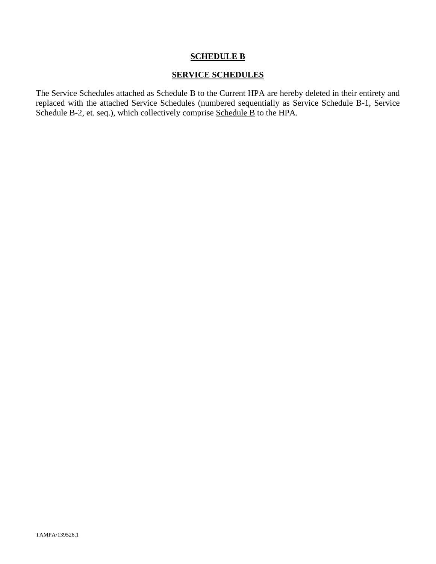## **SCHEDULE B**

## **SERVICE SCHEDULES**

The Service Schedules attached as Schedule B to the Current HPA are hereby deleted in their entirety and replaced with the attached Service Schedules (numbered sequentially as Service Schedule B-1, Service Schedule B-2, et. seq.), which collectively comprise Schedule B to the HPA.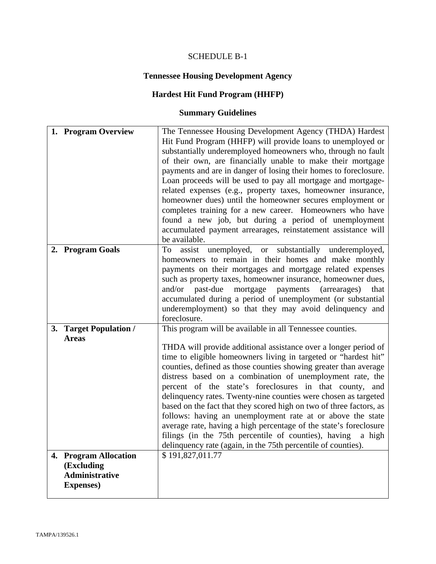# SCHEDULE B-1

# **Tennessee Housing Development Agency**

## **Hardest Hit Fund Program (HHFP)**

## **Summary Guidelines**

| 1. Program Overview                                                               | The Tennessee Housing Development Agency (THDA) Hardest<br>Hit Fund Program (HHFP) will provide loans to unemployed or<br>substantially underemployed homeowners who, through no fault<br>of their own, are financially unable to make their mortgage<br>payments and are in danger of losing their homes to foreclosure.<br>Loan proceeds will be used to pay all mortgage and mortgage-<br>related expenses (e.g., property taxes, homeowner insurance,<br>homeowner dues) until the homeowner secures employment or<br>completes training for a new career. Homeowners who have<br>found a new job, but during a period of unemployment<br>accumulated payment arrearages, reinstatement assistance will<br>be available.                                                                             |
|-----------------------------------------------------------------------------------|----------------------------------------------------------------------------------------------------------------------------------------------------------------------------------------------------------------------------------------------------------------------------------------------------------------------------------------------------------------------------------------------------------------------------------------------------------------------------------------------------------------------------------------------------------------------------------------------------------------------------------------------------------------------------------------------------------------------------------------------------------------------------------------------------------|
| 2. Program Goals                                                                  | assist unemployed, or substantially underemployed,<br>To<br>homeowners to remain in their homes and make monthly<br>payments on their mortgages and mortgage related expenses<br>such as property taxes, homeowner insurance, homeowner dues,<br>past-due<br>mortgage payments<br>and/or<br>(arrearages)<br>that<br>accumulated during a period of unemployment (or substantial<br>underemployment) so that they may avoid delinquency and<br>foreclosure.                                                                                                                                                                                                                                                                                                                                               |
| 3. Target Population /<br><b>Areas</b>                                            | This program will be available in all Tennessee counties.<br>THDA will provide additional assistance over a longer period of<br>time to eligible homeowners living in targeted or "hardest hit"<br>counties, defined as those counties showing greater than average<br>distress based on a combination of unemployment rate, the<br>percent of the state's foreclosures in that county, and<br>delinquency rates. Twenty-nine counties were chosen as targeted<br>based on the fact that they scored high on two of three factors, as<br>follows: having an unemployment rate at or above the state<br>average rate, having a high percentage of the state's foreclosure<br>filings (in the 75th percentile of counties), having a high<br>delinquency rate (again, in the 75th percentile of counties). |
| 4. Program Allocation<br>(Excluding<br><b>Administrative</b><br><b>Expenses</b> ) | \$191,827,011.77                                                                                                                                                                                                                                                                                                                                                                                                                                                                                                                                                                                                                                                                                                                                                                                         |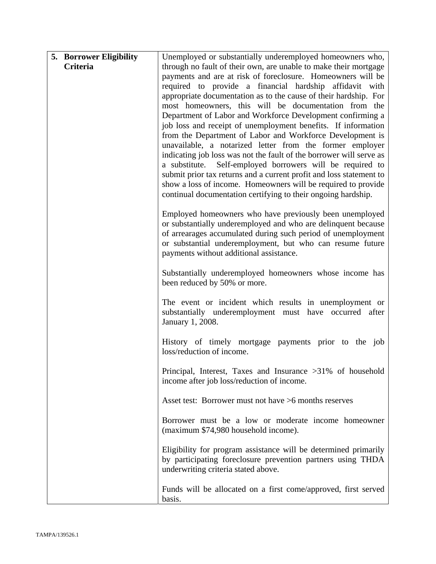| <b>5. Borrower Eligibility</b> | Unemployed or substantially underemployed homeowners who,                                                                     |
|--------------------------------|-------------------------------------------------------------------------------------------------------------------------------|
| Criteria                       | through no fault of their own, are unable to make their mortgage                                                              |
|                                | payments and are at risk of foreclosure. Homeowners will be                                                                   |
|                                | required to provide a financial hardship affidavit with                                                                       |
|                                | appropriate documentation as to the cause of their hardship. For                                                              |
|                                | most homeowners, this will be documentation from the                                                                          |
|                                | Department of Labor and Workforce Development confirming a                                                                    |
|                                | job loss and receipt of unemployment benefits. If information                                                                 |
|                                | from the Department of Labor and Workforce Development is<br>unavailable, a notarized letter from the former employer         |
|                                | indicating job loss was not the fault of the borrower will serve as                                                           |
|                                | a substitute.<br>Self-employed borrowers will be required to                                                                  |
|                                | submit prior tax returns and a current profit and loss statement to                                                           |
|                                | show a loss of income. Homeowners will be required to provide                                                                 |
|                                | continual documentation certifying to their ongoing hardship.                                                                 |
|                                |                                                                                                                               |
|                                | Employed homeowners who have previously been unemployed                                                                       |
|                                | or substantially underemployed and who are delinquent because<br>of arrearages accumulated during such period of unemployment |
|                                | or substantial underemployment, but who can resume future                                                                     |
|                                | payments without additional assistance.                                                                                       |
|                                |                                                                                                                               |
|                                | Substantially underemployed homeowners whose income has                                                                       |
|                                | been reduced by 50% or more.                                                                                                  |
|                                |                                                                                                                               |
|                                | The event or incident which results in unemployment or<br>substantially underemployment must have occurred after              |
|                                | January 1, 2008.                                                                                                              |
|                                |                                                                                                                               |
|                                | History of timely mortgage payments prior to the job                                                                          |
|                                | loss/reduction of income.                                                                                                     |
|                                | Principal, Interest, Taxes and Insurance $>31\%$ of household                                                                 |
|                                | income after job loss/reduction of income.                                                                                    |
|                                |                                                                                                                               |
|                                | Asset test: Borrower must not have >6 months reserves                                                                         |
|                                |                                                                                                                               |
|                                | Borrower must be a low or moderate income homeowner                                                                           |
|                                | (maximum \$74,980 household income).                                                                                          |
|                                | Eligibility for program assistance will be determined primarily                                                               |
|                                | by participating foreclosure prevention partners using THDA                                                                   |
|                                | underwriting criteria stated above.                                                                                           |
|                                |                                                                                                                               |
|                                | Funds will be allocated on a first come/approved, first served                                                                |
|                                | basis.                                                                                                                        |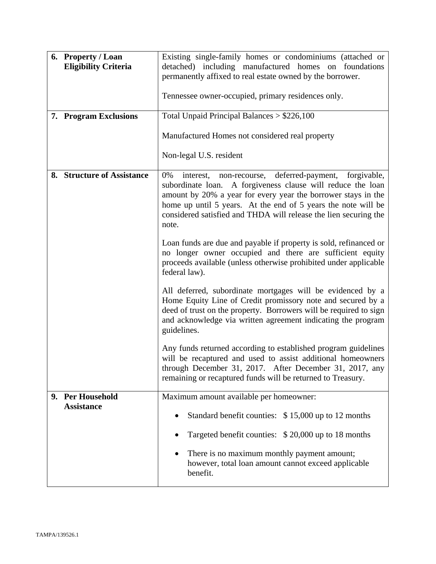| 6. Property / Loan<br><b>Eligibility Criteria</b> | Existing single-family homes or condominiums (attached or<br>detached) including manufactured homes on foundations<br>permanently affixed to real estate owned by the borrower.<br>Tennessee owner-occupied, primary residences only.                                                                                                        |  |
|---------------------------------------------------|----------------------------------------------------------------------------------------------------------------------------------------------------------------------------------------------------------------------------------------------------------------------------------------------------------------------------------------------|--|
| 7. Program Exclusions                             | Total Unpaid Principal Balances $> $226,100$                                                                                                                                                                                                                                                                                                 |  |
|                                                   | Manufactured Homes not considered real property                                                                                                                                                                                                                                                                                              |  |
|                                                   | Non-legal U.S. resident                                                                                                                                                                                                                                                                                                                      |  |
| 8. Structure of Assistance                        | interest, non-recourse, deferred-payment,<br>forgivable,<br>0%<br>subordinate loan. A forgiveness clause will reduce the loan<br>amount by 20% a year for every year the borrower stays in the<br>home up until 5 years. At the end of 5 years the note will be<br>considered satisfied and THDA will release the lien securing the<br>note. |  |
|                                                   | Loan funds are due and payable if property is sold, refinanced or<br>no longer owner occupied and there are sufficient equity<br>proceeds available (unless otherwise prohibited under applicable<br>federal law).                                                                                                                           |  |
|                                                   | All deferred, subordinate mortgages will be evidenced by a<br>Home Equity Line of Credit promissory note and secured by a<br>deed of trust on the property. Borrowers will be required to sign<br>and acknowledge via written agreement indicating the program<br>guidelines.                                                                |  |
|                                                   | Any funds returned according to established program guidelines<br>will be recaptured and used to assist additional homeowners<br>through December 31, 2017. After December 31, 2017, any<br>remaining or recaptured funds will be returned to Treasury.                                                                                      |  |
| 9. Per Household<br><b>Assistance</b>             | Maximum amount available per homeowner:                                                                                                                                                                                                                                                                                                      |  |
|                                                   | Standard benefit counties: \$15,000 up to 12 months                                                                                                                                                                                                                                                                                          |  |
|                                                   | Targeted benefit counties: \$20,000 up to 18 months                                                                                                                                                                                                                                                                                          |  |
|                                                   | There is no maximum monthly payment amount;<br>$\bullet$<br>however, total loan amount cannot exceed applicable<br>benefit.                                                                                                                                                                                                                  |  |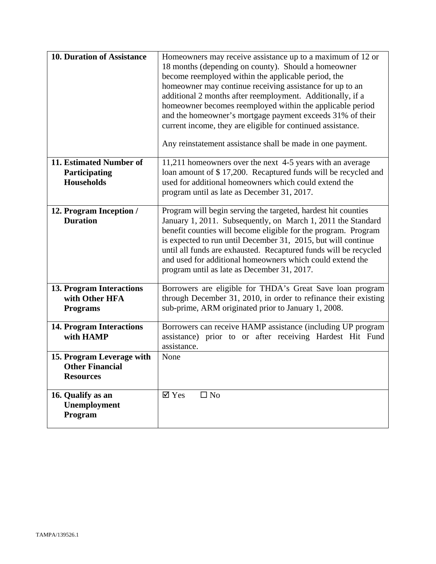| <b>10. Duration of Assistance</b>                                       | Homeowners may receive assistance up to a maximum of 12 or<br>18 months (depending on county). Should a homeowner<br>become reemployed within the applicable period, the<br>homeowner may continue receiving assistance for up to an<br>additional 2 months after reemployment. Additionally, if a<br>homeowner becomes reemployed within the applicable period<br>and the homeowner's mortgage payment exceeds 31% of their<br>current income, they are eligible for continued assistance.<br>Any reinstatement assistance shall be made in one payment. |  |
|-------------------------------------------------------------------------|-----------------------------------------------------------------------------------------------------------------------------------------------------------------------------------------------------------------------------------------------------------------------------------------------------------------------------------------------------------------------------------------------------------------------------------------------------------------------------------------------------------------------------------------------------------|--|
| 11. Estimated Number of<br>Participating<br><b>Households</b>           | 11,211 homeowners over the next 4-5 years with an average<br>loan amount of \$17,200. Recaptured funds will be recycled and<br>used for additional homeowners which could extend the<br>program until as late as December 31, 2017.                                                                                                                                                                                                                                                                                                                       |  |
| 12. Program Inception /<br><b>Duration</b>                              | Program will begin serving the targeted, hardest hit counties<br>January 1, 2011. Subsequently, on March 1, 2011 the Standard<br>benefit counties will become eligible for the program. Program<br>is expected to run until December 31, 2015, but will continue<br>until all funds are exhausted. Recaptured funds will be recycled<br>and used for additional homeowners which could extend the<br>program until as late as December 31, 2017.                                                                                                          |  |
| 13. Program Interactions<br>with Other HFA<br><b>Programs</b>           | Borrowers are eligible for THDA's Great Save loan program<br>through December 31, 2010, in order to refinance their existing<br>sub-prime, ARM originated prior to January 1, 2008.                                                                                                                                                                                                                                                                                                                                                                       |  |
| <b>14. Program Interactions</b><br>with HAMP                            | Borrowers can receive HAMP assistance (including UP program<br>assistance) prior to or after receiving Hardest Hit Fund<br>assistance.                                                                                                                                                                                                                                                                                                                                                                                                                    |  |
| 15. Program Leverage with<br><b>Other Financial</b><br><b>Resources</b> | None                                                                                                                                                                                                                                                                                                                                                                                                                                                                                                                                                      |  |
| 16. Qualify as an<br><b>Unemployment</b><br>Program                     | $\overline{\mathsf{Y}}$ Yes<br>$\square$ No                                                                                                                                                                                                                                                                                                                                                                                                                                                                                                               |  |